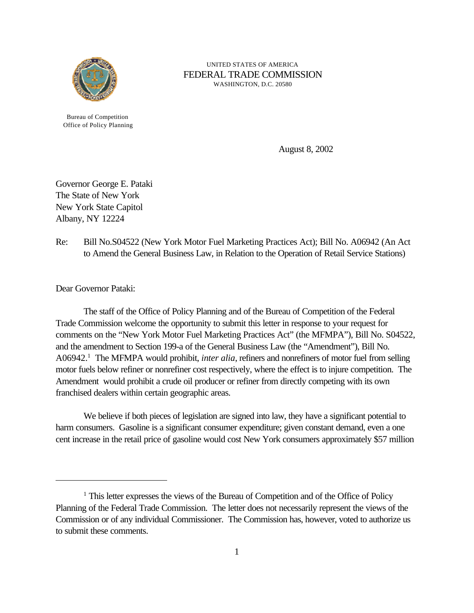

UNITED STATES OF AMERICA FEDERAL TRADE COMMISSION WASHINGTON, D.C. 20580

Bureau of Competition Office of Policy Planning

August 8, 2002

Governor George E. Pataki The State of New York New York State Capitol Albany, NY 12224

Re: Bill No.S04522 (New York Motor Fuel Marketing Practices Act); Bill No. A06942 (An Act to Amend the General Business Law, in Relation to the Operation of Retail Service Stations)

Dear Governor Pataki:

The staff of the Office of Policy Planning and of the Bureau of Competition of the Federal Trade Commission welcome the opportunity to submit this letter in response to your request for comments on the "New York Motor Fuel Marketing Practices Act" (the MFMPA"), Bill No. S04522, and the amendment to Section 199-a of the General Business Law (the "Amendment"), Bill No. A06942.<sup>1</sup> The MFMPA would prohibit, *inter alia*, refiners and nonrefiners of motor fuel from selling motor fuels below refiner or nonrefiner cost respectively, where the effect is to injure competition. The Amendment would prohibit a crude oil producer or refiner from directly competing with its own franchised dealers within certain geographic areas.

We believe if both pieces of legislation are signed into law, they have a significant potential to harm consumers. Gasoline is a significant consumer expenditure; given constant demand, even a one cent increase in the retail price of gasoline would cost New York consumers approximately \$57 million

<sup>&</sup>lt;sup>1</sup> This letter expresses the views of the Bureau of Competition and of the Office of Policy Planning of the Federal Trade Commission. The letter does not necessarily represent the views of the Commission or of any individual Commissioner. The Commission has, however, voted to authorize us to submit these comments.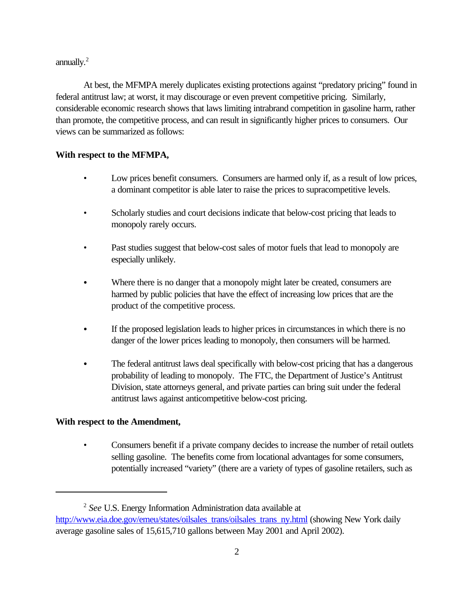annually. $<sup>2</sup>$ </sup>

At best, the MFMPA merely duplicates existing protections against "predatory pricing" found in federal antitrust law; at worst, it may discourage or even prevent competitive pricing. Similarly, considerable economic research shows that laws limiting intrabrand competition in gasoline harm, rather than promote, the competitive process, and can result in significantly higher prices to consumers. Our views can be summarized as follows:

## **With respect to the MFMPA,**

- Low prices benefit consumers. Consumers are harmed only if, as a result of low prices, a dominant competitor is able later to raise the prices to supracompetitive levels.
- Scholarly studies and court decisions indicate that below-cost pricing that leads to monopoly rarely occurs.
- Past studies suggest that below-cost sales of motor fuels that lead to monopoly are especially unlikely.
- Where there is no danger that a monopoly might later be created, consumers are harmed by public policies that have the effect of increasing low prices that are the product of the competitive process.
- If the proposed legislation leads to higher prices in circumstances in which there is no danger of the lower prices leading to monopoly, then consumers will be harmed.
- The federal antitrust laws deal specifically with below-cost pricing that has a dangerous probability of leading to monopoly. The FTC, the Department of Justice's Antitrust Division, state attorneys general, and private parties can bring suit under the federal antitrust laws against anticompetitive below-cost pricing.

# **With respect to the Amendment,**

• Consumers benefit if a private company decides to increase the number of retail outlets selling gasoline. The benefits come from locational advantages for some consumers, potentially increased "variety" (there are a variety of types of gasoline retailers, such as

<sup>2</sup> *See* U.S. Energy Information Administration data available at http://www.eia.doe.gov/emeu/states/oilsales\_trans/oilsales\_trans\_ny.html (showing New York daily average gasoline sales of 15,615,710 gallons between May 2001 and April 2002).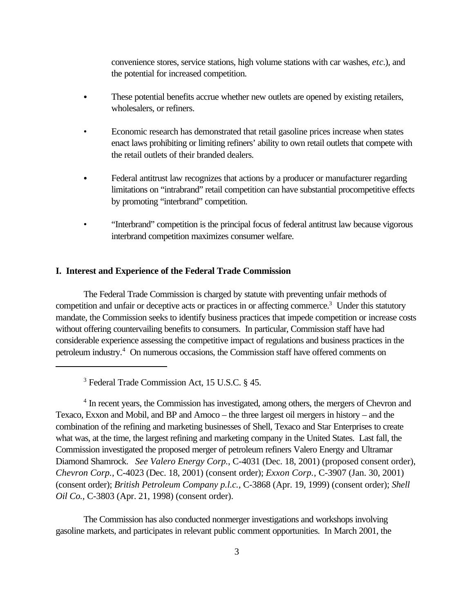convenience stores, service stations, high volume stations with car washes, *etc*.), and the potential for increased competition.

- These potential benefits accrue whether new outlets are opened by existing retailers, wholesalers, or refiners.
- Economic research has demonstrated that retail gasoline prices increase when states enact laws prohibiting or limiting refiners' ability to own retail outlets that compete with the retail outlets of their branded dealers.
- Federal antitrust law recognizes that actions by a producer or manufacturer regarding limitations on "intrabrand" retail competition can have substantial procompetitive effects by promoting "interbrand" competition.
- "Interbrand" competition is the principal focus of federal antitrust law because vigorous interbrand competition maximizes consumer welfare.

## **I. Interest and Experience of the Federal Trade Commission**

The Federal Trade Commission is charged by statute with preventing unfair methods of competition and unfair or deceptive acts or practices in or affecting commerce.<sup>3</sup> Under this statutory mandate, the Commission seeks to identify business practices that impede competition or increase costs without offering countervailing benefits to consumers. In particular, Commission staff have had considerable experience assessing the competitive impact of regulations and business practices in the petroleum industry.<sup>4</sup> On numerous occasions, the Commission staff have offered comments on

<sup>4</sup> In recent years, the Commission has investigated, among others, the mergers of Chevron and Texaco, Exxon and Mobil, and BP and Amoco – the three largest oil mergers in history – and the combination of the refining and marketing businesses of Shell, Texaco and Star Enterprises to create what was, at the time, the largest refining and marketing company in the United States. Last fall, the Commission investigated the proposed merger of petroleum refiners Valero Energy and Ultramar Diamond Shamrock. *See Valero Energy Corp.*, C-4031 (Dec. 18, 2001) (proposed consent order), *Chevron Corp.*, C-4023 (Dec. 18, 2001) (consent order); *Exxon Corp.,* C-3907 (Jan. 30, 2001) (consent order); *British Petroleum Company p.l.c.,* C-3868 (Apr. 19, 1999) (consent order); *Shell Oil Co.,* C-3803 (Apr. 21, 1998) (consent order).

The Commission has also conducted nonmerger investigations and workshops involving gasoline markets, and participates in relevant public comment opportunities. In March 2001, the

<sup>3</sup> Federal Trade Commission Act, 15 U.S.C. § 45.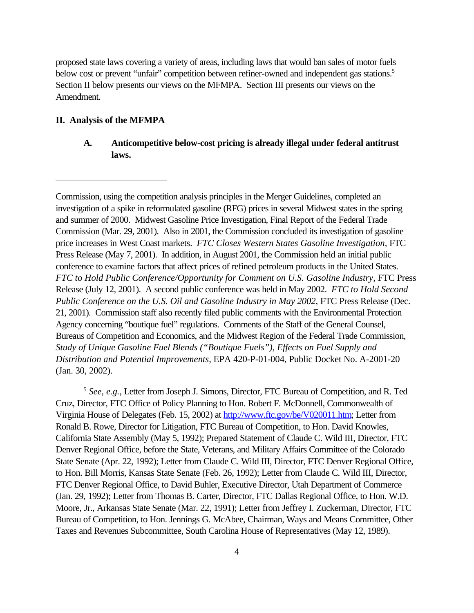proposed state laws covering a variety of areas, including laws that would ban sales of motor fuels below cost or prevent "unfair" competition between refiner-owned and independent gas stations.<sup>5</sup> Section II below presents our views on the MFMPA. Section III presents our views on the Amendment.

## **II. Analysis of the MFMPA**

## **A. Anticompetitive below-cost pricing is already illegal under federal antitrust laws.**

Commission, using the competition analysis principles in the Merger Guidelines, completed an investigation of a spike in reformulated gasoline (RFG) prices in several Midwest states in the spring and summer of 2000. Midwest Gasoline Price Investigation, Final Report of the Federal Trade Commission (Mar. 29, 2001). Also in 2001, the Commission concluded its investigation of gasoline price increases in West Coast markets. *FTC Closes Western States Gasoline Investigation,* FTC Press Release (May 7, 2001). In addition, in August 2001, the Commission held an initial public conference to examine factors that affect prices of refined petroleum products in the United States. *FTC to Hold Public Conference/Opportunity for Comment on U.S. Gasoline Industry,* FTC Press Release (July 12, 2001). A second public conference was held in May 2002. *FTC to Hold Second Public Conference on the U.S. Oil and Gasoline Industry in May 2002*, FTC Press Release (Dec. 21, 2001). Commission staff also recently filed public comments with the Environmental Protection Agency concerning "boutique fuel" regulations. Comments of the Staff of the General Counsel, Bureaus of Competition and Economics, and the Midwest Region of the Federal Trade Commission, *Study of Unique Gasoline Fuel Blends ("Boutique Fuels"), Effects on Fuel Supply and Distribution and Potential Improvements,* EPA 420-P-01-004, Public Docket No. A-2001-20 (Jan. 30, 2002).

<sup>5</sup> See, e.g., Letter from Joseph J. Simons, Director, FTC Bureau of Competition, and R. Ted Cruz, Director, FTC Office of Policy Planning to Hon. Robert F. McDonnell, Commonwealth of Virginia House of Delegates (Feb. 15, 2002) at http://www.ftc.gov/be/V020011.htm; Letter from Ronald B. Rowe, Director for Litigation, FTC Bureau of Competition, to Hon. David Knowles, California State Assembly (May 5, 1992); Prepared Statement of Claude C. Wild III, Director, FTC Denver Regional Office, before the State, Veterans, and Military Affairs Committee of the Colorado State Senate (Apr. 22, 1992); Letter from Claude C. Wild III, Director, FTC Denver Regional Office, to Hon. Bill Morris, Kansas State Senate (Feb. 26, 1992); Letter from Claude C. Wild III, Director, FTC Denver Regional Office, to David Buhler, Executive Director, Utah Department of Commerce (Jan. 29, 1992); Letter from Thomas B. Carter, Director, FTC Dallas Regional Office, to Hon. W.D. Moore, Jr., Arkansas State Senate (Mar. 22, 1991); Letter from Jeffrey I. Zuckerman, Director, FTC Bureau of Competition, to Hon. Jennings G. McAbee, Chairman, Ways and Means Committee, Other Taxes and Revenues Subcommittee, South Carolina House of Representatives (May 12, 1989).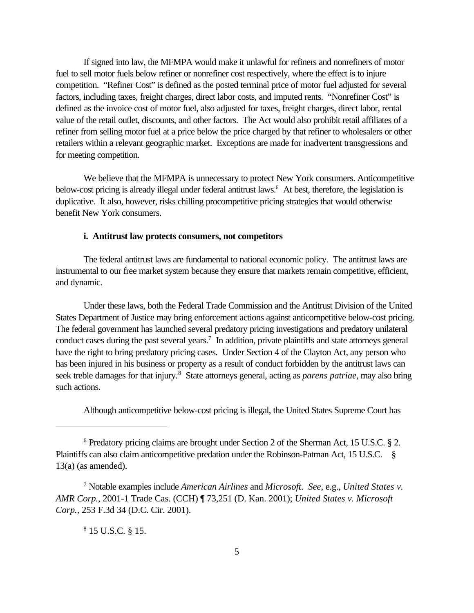If signed into law, the MFMPA would make it unlawful for refiners and nonrefiners of motor fuel to sell motor fuels below refiner or nonrefiner cost respectively, where the effect is to injure competition. "Refiner Cost" is defined as the posted terminal price of motor fuel adjusted for several factors, including taxes, freight charges, direct labor costs, and imputed rents. "Nonrefiner Cost" is defined as the invoice cost of motor fuel, also adjusted for taxes, freight charges, direct labor, rental value of the retail outlet, discounts, and other factors. The Act would also prohibit retail affiliates of a refiner from selling motor fuel at a price below the price charged by that refiner to wholesalers or other retailers within a relevant geographic market. Exceptions are made for inadvertent transgressions and for meeting competition.

 We believe that the MFMPA is unnecessary to protect New York consumers. Anticompetitive below-cost pricing is already illegal under federal antitrust laws.<sup>6</sup> At best, therefore, the legislation is duplicative. It also, however, risks chilling procompetitive pricing strategies that would otherwise benefit New York consumers.

## **i. Antitrust law protects consumers, not competitors**

The federal antitrust laws are fundamental to national economic policy. The antitrust laws are instrumental to our free market system because they ensure that markets remain competitive, efficient, and dynamic.

Under these laws, both the Federal Trade Commission and the Antitrust Division of the United States Department of Justice may bring enforcement actions against anticompetitive below-cost pricing. The federal government has launched several predatory pricing investigations and predatory unilateral conduct cases during the past several years.<sup>7</sup> In addition, private plaintiffs and state attorneys general have the right to bring predatory pricing cases. Under Section 4 of the Clayton Act, any person who has been injured in his business or property as a result of conduct forbidden by the antitrust laws can seek treble damages for that injury.<sup>8</sup> State attorneys general, acting as *parens patriae*, may also bring such actions.

Although anticompetitive below-cost pricing is illegal, the United States Supreme Court has

8 15 U.S.C. § 15.

<sup>&</sup>lt;sup>6</sup> Predatory pricing claims are brought under Section 2 of the Sherman Act, 15 U.S.C. § 2. Plaintiffs can also claim anticompetitive predation under the Robinson-Patman Act, 15 U.S.C. §  $13(a)$  (as amended).

<sup>7</sup> Notable examples include *American Airlines* and *Microsoft*. *See*, e.g., *United States v. AMR Corp.*, 2001-1 Trade Cas. (CCH) ¶ 73,251 (D. Kan. 2001); *United States v. Microsoft Corp.*, 253 F.3d 34 (D.C. Cir. 2001).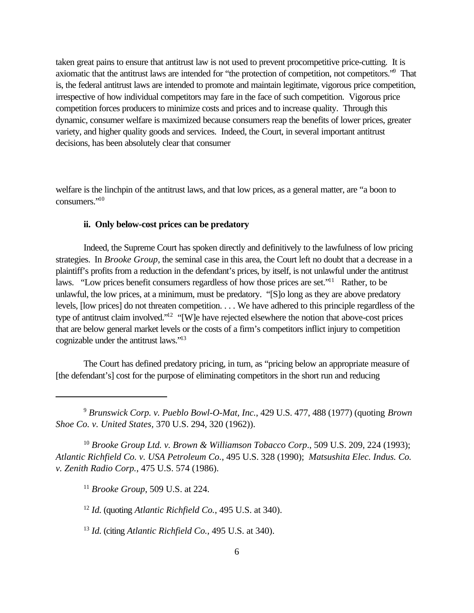taken great pains to ensure that antitrust law is not used to prevent procompetitive price-cutting. It is axiomatic that the antitrust laws are intended for "the protection of competition, not competitors." That is, the federal antitrust laws are intended to promote and maintain legitimate, vigorous price competition, irrespective of how individual competitors may fare in the face of such competition. Vigorous price competition forces producers to minimize costs and prices and to increase quality. Through this dynamic, consumer welfare is maximized because consumers reap the benefits of lower prices, greater variety, and higher quality goods and services. Indeed, the Court, in several important antitrust decisions, has been absolutely clear that consumer

welfare is the linchpin of the antitrust laws, and that low prices, as a general matter, are "a boon to consumers."<sup>10</sup>

## **ii. Only below-cost prices can be predatory**

Indeed, the Supreme Court has spoken directly and definitively to the lawfulness of low pricing strategies. In *Brooke Group*, the seminal case in this area, the Court left no doubt that a decrease in a plaintiff's profits from a reduction in the defendant's prices, by itself, is not unlawful under the antitrust laws. "Low prices benefit consumers regardless of how those prices are set."<sup>11</sup> Rather, to be unlawful, the low prices, at a minimum, must be predatory. "[S]o long as they are above predatory levels, [low prices] do not threaten competition. . . . We have adhered to this principle regardless of the type of antitrust claim involved."<sup>12</sup> "[W]e have rejected elsewhere the notion that above-cost prices that are below general market levels or the costs of a firm's competitors inflict injury to competition cognizable under the antitrust laws."<sup>13</sup>

The Court has defined predatory pricing, in turn, as "pricing below an appropriate measure of [the defendant's] cost for the purpose of eliminating competitors in the short run and reducing

<sup>10</sup> *Brooke Group Ltd. v. Brown & Williamson Tobacco Corp*., 509 U.S. 209, 224 (1993); *Atlantic Richfield Co. v. USA Petroleum Co.*, 495 U.S. 328 (1990); *Matsushita Elec. Indus. Co. v. Zenith Radio Corp.*, 475 U.S. 574 (1986).

<sup>11</sup> *Brooke Group*, 509 U.S. at 224.

<sup>12</sup> *Id.* (quoting *Atlantic Richfield Co.*, 495 U.S. at 340).

<sup>13</sup> *Id.* (citing *Atlantic Richfield Co.,* 495 U.S. at 340).

<sup>9</sup>  *Brunswick Corp. v. Pueblo Bowl-O-Mat, Inc.*, 429 U.S. 477, 488 (1977) (quoting *Brown Shoe Co. v. United States,* 370 U.S. 294, 320 (1962)).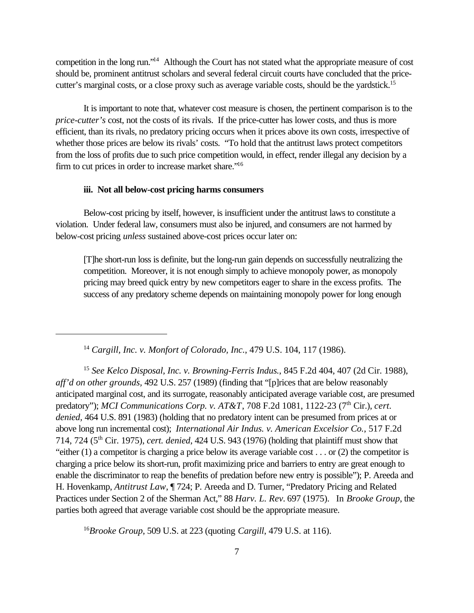competition in the long run."<sup>14</sup> Although the Court has not stated what the appropriate measure of cost should be, prominent antitrust scholars and several federal circuit courts have concluded that the pricecutter's marginal costs, or a close proxy such as average variable costs, should be the vardstick.<sup>15</sup>

It is important to note that, whatever cost measure is chosen, the pertinent comparison is to the *price-cutter's* cost, not the costs of its rivals. If the price-cutter has lower costs, and thus is more efficient, than its rivals, no predatory pricing occurs when it prices above its own costs, irrespective of whether those prices are below its rivals' costs. "To hold that the antitrust laws protect competitors from the loss of profits due to such price competition would, in effect, render illegal any decision by a firm to cut prices in order to increase market share."<sup>16</sup>

#### **iii. Not all below-cost pricing harms consumers**

Below-cost pricing by itself, however, is insufficient under the antitrust laws to constitute a violation. Under federal law, consumers must also be injured, and consumers are not harmed by below-cost pricing *unless* sustained above-cost prices occur later on:

[T]he short-run loss is definite, but the long-run gain depends on successfully neutralizing the competition. Moreover, it is not enough simply to achieve monopoly power, as monopoly pricing may breed quick entry by new competitors eager to share in the excess profits. The success of any predatory scheme depends on maintaining monopoly power for long enough

<sup>14</sup> *Cargill, Inc. v. Monfort of Colorado, Inc.*, 479 U.S. 104, 117 (1986).

<sup>15</sup> *See Kelco Disposal, Inc. v. Browning-Ferris Indus.*, 845 F.2d 404, 407 (2d Cir. 1988), *aff'd on other grounds,* 492 U.S. 257 (1989) (finding that "[p]rices that are below reasonably anticipated marginal cost, and its surrogate, reasonably anticipated average variable cost, are presumed predatory"); *MCI Communications Corp. v. AT&T*, 708 F.2d 1081, 1122-23 (7<sup>th</sup> Cir.), *cert. denied,* 464 U.S. 891 (1983) (holding that no predatory intent can be presumed from prices at or above long run incremental cost); *International Air Indus. v. American Excelsior Co.*, 517 F.2d 714, 724 (5th Cir. 1975), *cert. denied*, 424 U.S. 943 (1976) (holding that plaintiff must show that "either (1) a competitor is charging a price below its average variable cost . . . or (2) the competitor is charging a price below its short-run, profit maximizing price and barriers to entry are great enough to enable the discriminator to reap the benefits of predation before new entry is possible"); P. Areeda and H. Hovenkamp, *Antitrust Law*, ¶ 724; P. Areeda and D. Turner, "Predatory Pricing and Related Practices under Section 2 of the Sherman Act," 88 *Harv. L. Rev.* 697 (1975). In *Brooke Group*, the parties both agreed that average variable cost should be the appropriate measure.

<sup>16</sup>*Brooke Group*, 509 U.S. at 223 (quoting *Cargill*, 479 U.S. at 116).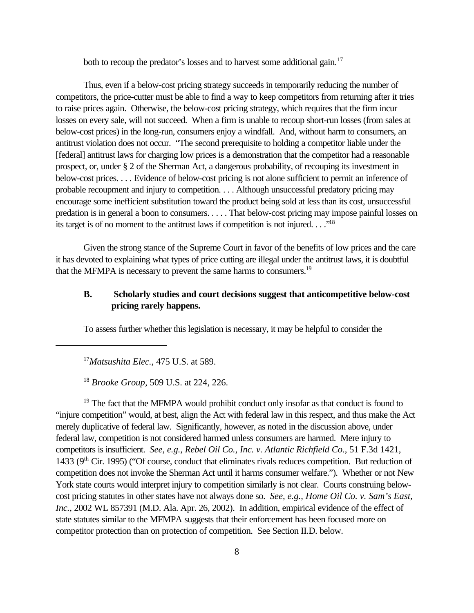both to recoup the predator's losses and to harvest some additional gain.<sup>17</sup>

Thus, even if a below-cost pricing strategy succeeds in temporarily reducing the number of competitors, the price-cutter must be able to find a way to keep competitors from returning after it tries to raise prices again. Otherwise, the below-cost pricing strategy, which requires that the firm incur losses on every sale, will not succeed. When a firm is unable to recoup short-run losses (from sales at below-cost prices) in the long-run, consumers enjoy a windfall. And, without harm to consumers, an antitrust violation does not occur. "The second prerequisite to holding a competitor liable under the [federal] antitrust laws for charging low prices is a demonstration that the competitor had a reasonable prospect, or, under § 2 of the Sherman Act, a dangerous probability, of recouping its investment in below-cost prices. . . . Evidence of below-cost pricing is not alone sufficient to permit an inference of probable recoupment and injury to competition. . . . Although unsuccessful predatory pricing may encourage some inefficient substitution toward the product being sold at less than its cost, unsuccessful predation is in general a boon to consumers. . . . . That below-cost pricing may impose painful losses on its target is of no moment to the antitrust laws if competition is not injured. . . ."<sup>18</sup>

Given the strong stance of the Supreme Court in favor of the benefits of low prices and the care it has devoted to explaining what types of price cutting are illegal under the antitrust laws, it is doubtful that the MFMPA is necessary to prevent the same harms to consumers.<sup>19</sup>

## **B. Scholarly studies and court decisions suggest that anticompetitive below-cost pricing rarely happens.**

To assess further whether this legislation is necessary, it may be helpful to consider the

<sup>17</sup>*Matsushita Elec.*, 475 U.S. at 589.

<sup>18</sup> *Brooke Group,* 509 U.S. at 224, 226.

<sup>19</sup> The fact that the MFMPA would prohibit conduct only insofar as that conduct is found to "injure competition" would, at best, align the Act with federal law in this respect, and thus make the Act merely duplicative of federal law. Significantly, however, as noted in the discussion above, under federal law, competition is not considered harmed unless consumers are harmed. Mere injury to competitors is insufficient. *See, e.g., Rebel Oil Co., Inc. v. Atlantic Richfield Co.*, 51 F.3d 1421, 1433 (9th Cir. 1995) ("Of course, conduct that eliminates rivals reduces competition. But reduction of competition does not invoke the Sherman Act until it harms consumer welfare."). Whether or not New York state courts would interpret injury to competition similarly is not clear. Courts construing belowcost pricing statutes in other states have not always done so. *See, e.g., Home Oil Co. v. Sam's East, Inc.*, 2002 WL 857391 (M.D. Ala. Apr. 26, 2002). In addition, empirical evidence of the effect of state statutes similar to the MFMPA suggests that their enforcement has been focused more on competitor protection than on protection of competition. See Section II.D. below.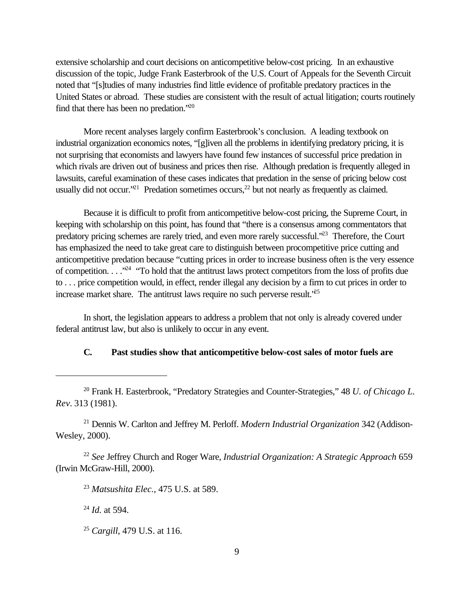extensive scholarship and court decisions on anticompetitive below-cost pricing. In an exhaustive discussion of the topic, Judge Frank Easterbrook of the U.S. Court of Appeals for the Seventh Circuit noted that "[s]tudies of many industries find little evidence of profitable predatory practices in the United States or abroad. These studies are consistent with the result of actual litigation; courts routinely find that there has been no predation."<sup>20</sup>

More recent analyses largely confirm Easterbrook's conclusion. A leading textbook on industrial organization economics notes, "[g]iven all the problems in identifying predatory pricing, it is not surprising that economists and lawyers have found few instances of successful price predation in which rivals are driven out of business and prices then rise. Although predation is frequently alleged in lawsuits, careful examination of these cases indicates that predation in the sense of pricing below cost usually did not occur."<sup>21</sup> Predation sometimes occurs,<sup>22</sup> but not nearly as frequently as claimed.

Because it is difficult to profit from anticompetitive below-cost pricing, the Supreme Court, in keeping with scholarship on this point, has found that "there is a consensus among commentators that predatory pricing schemes are rarely tried, and even more rarely successful."<sup>23</sup> Therefore, the Court has emphasized the need to take great care to distinguish between procompetitive price cutting and anticompetitive predation because "cutting prices in order to increase business often is the very essence of competition.  $\ldots$ <sup>24</sup> "To hold that the antitrust laws protect competitors from the loss of profits due to . . . price competition would, in effect, render illegal any decision by a firm to cut prices in order to increase market share. The antitrust laws require no such perverse result.<sup>'25</sup>

In short, the legislation appears to address a problem that not only is already covered under federal antitrust law, but also is unlikely to occur in any event.

#### **C. Past studies show that anticompetitive below-cost sales of motor fuels are**

21 Dennis W. Carlton and Jeffrey M. Perloff. *Modern Industrial Organization* 342 (Addison-Wesley, 2000).

<sup>22</sup> *See* Jeffrey Church and Roger Ware, *Industrial Organization: A Strategic Approach* 659 (Irwin McGraw-Hill, 2000).

<sup>23</sup> *Matsushita Elec.*, 475 U.S. at 589.

<sup>24</sup> *Id.* at 594.

<sup>25</sup> *Cargill*, 479 U.S. at 116.

<sup>20</sup> Frank H. Easterbrook, "Predatory Strategies and Counter-Strategies," 48 *U. of Chicago L. Rev.* 313 (1981).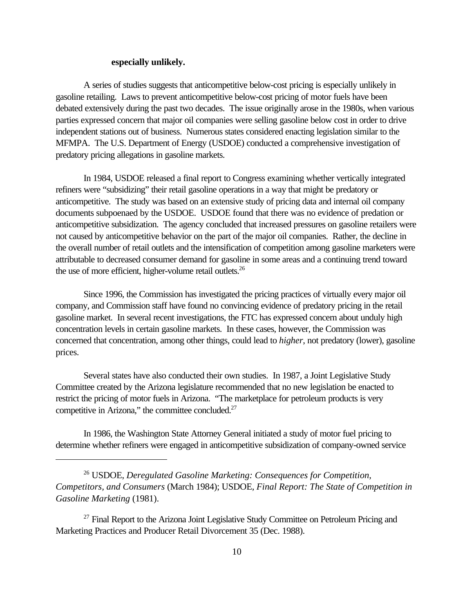## **especially unlikely.**

A series of studies suggests that anticompetitive below-cost pricing is especially unlikely in gasoline retailing. Laws to prevent anticompetitive below-cost pricing of motor fuels have been debated extensively during the past two decades. The issue originally arose in the 1980s, when various parties expressed concern that major oil companies were selling gasoline below cost in order to drive independent stations out of business. Numerous states considered enacting legislation similar to the MFMPA. The U.S. Department of Energy (USDOE) conducted a comprehensive investigation of predatory pricing allegations in gasoline markets.

In 1984, USDOE released a final report to Congress examining whether vertically integrated refiners were "subsidizing" their retail gasoline operations in a way that might be predatory or anticompetitive. The study was based on an extensive study of pricing data and internal oil company documents subpoenaed by the USDOE. USDOE found that there was no evidence of predation or anticompetitive subsidization. The agency concluded that increased pressures on gasoline retailers were not caused by anticompetitive behavior on the part of the major oil companies. Rather, the decline in the overall number of retail outlets and the intensification of competition among gasoline marketers were attributable to decreased consumer demand for gasoline in some areas and a continuing trend toward the use of more efficient, higher-volume retail outlets.<sup>26</sup>

Since 1996, the Commission has investigated the pricing practices of virtually every major oil company, and Commission staff have found no convincing evidence of predatory pricing in the retail gasoline market. In several recent investigations, the FTC has expressed concern about unduly high concentration levels in certain gasoline markets. In these cases, however, the Commission was concerned that concentration, among other things, could lead to *higher*, not predatory (lower), gasoline prices.

Several states have also conducted their own studies. In 1987, a Joint Legislative Study Committee created by the Arizona legislature recommended that no new legislation be enacted to restrict the pricing of motor fuels in Arizona. "The marketplace for petroleum products is very competitive in Arizona," the committee concluded.<sup>27</sup>

In 1986, the Washington State Attorney General initiated a study of motor fuel pricing to determine whether refiners were engaged in anticompetitive subsidization of company-owned service

 $27$  Final Report to the Arizona Joint Legislative Study Committee on Petroleum Pricing and Marketing Practices and Producer Retail Divorcement 35 (Dec. 1988).

<sup>26</sup> USDOE, *Deregulated Gasoline Marketing: Consequences for Competition, Competitors, and Consumers* (March 1984); USDOE, *Final Report: The State of Competition in Gasoline Marketing* (1981).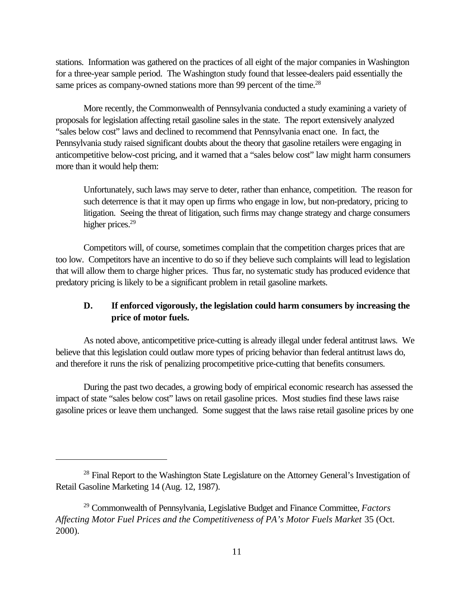stations. Information was gathered on the practices of all eight of the major companies in Washington for a three-year sample period. The Washington study found that lessee-dealers paid essentially the same prices as company-owned stations more than 99 percent of the time.<sup>28</sup>

More recently, the Commonwealth of Pennsylvania conducted a study examining a variety of proposals for legislation affecting retail gasoline sales in the state. The report extensively analyzed "sales below cost" laws and declined to recommend that Pennsylvania enact one. In fact, the Pennsylvania study raised significant doubts about the theory that gasoline retailers were engaging in anticompetitive below-cost pricing, and it warned that a "sales below cost" law might harm consumers more than it would help them:

Unfortunately, such laws may serve to deter, rather than enhance, competition. The reason for such deterrence is that it may open up firms who engage in low, but non-predatory, pricing to litigation. Seeing the threat of litigation, such firms may change strategy and charge consumers higher prices.<sup>29</sup>

Competitors will, of course, sometimes complain that the competition charges prices that are too low. Competitors have an incentive to do so if they believe such complaints will lead to legislation that will allow them to charge higher prices. Thus far, no systematic study has produced evidence that predatory pricing is likely to be a significant problem in retail gasoline markets.

# **D. If enforced vigorously, the legislation could harm consumers by increasing the price of motor fuels.**

As noted above, anticompetitive price-cutting is already illegal under federal antitrust laws. We believe that this legislation could outlaw more types of pricing behavior than federal antitrust laws do, and therefore it runs the risk of penalizing procompetitive price-cutting that benefits consumers.

During the past two decades, a growing body of empirical economic research has assessed the impact of state "sales below cost" laws on retail gasoline prices. Most studies find these laws raise gasoline prices or leave them unchanged. Some suggest that the laws raise retail gasoline prices by one

<sup>&</sup>lt;sup>28</sup> Final Report to the Washington State Legislature on the Attorney General's Investigation of Retail Gasoline Marketing 14 (Aug. 12, 1987).

<sup>29</sup> Commonwealth of Pennsylvania, Legislative Budget and Finance Committee, *Factors Affecting Motor Fuel Prices and the Competitiveness of PA's Motor Fuels Market* 35 (Oct. 2000).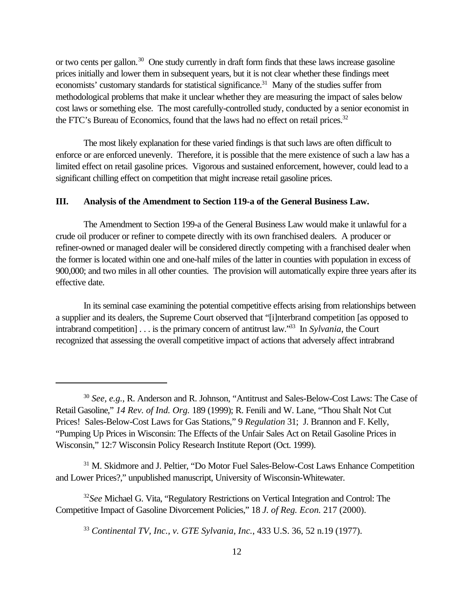or two cents per gallon.<sup>30</sup> One study currently in draft form finds that these laws increase gasoline prices initially and lower them in subsequent years, but it is not clear whether these findings meet economists' customary standards for statistical significance.<sup>31</sup> Many of the studies suffer from methodological problems that make it unclear whether they are measuring the impact of sales below cost laws or something else. The most carefully-controlled study, conducted by a senior economist in the FTC's Bureau of Economics, found that the laws had no effect on retail prices.<sup>32</sup>

The most likely explanation for these varied findings is that such laws are often difficult to enforce or are enforced unevenly. Therefore, it is possible that the mere existence of such a law has a limited effect on retail gasoline prices. Vigorous and sustained enforcement, however, could lead to a significant chilling effect on competition that might increase retail gasoline prices.

## **III. Analysis of the Amendment to Section 119-a of the General Business Law.**

The Amendment to Section 199-a of the General Business Law would make it unlawful for a crude oil producer or refiner to compete directly with its own franchised dealers. A producer or refiner-owned or managed dealer will be considered directly competing with a franchised dealer when the former is located within one and one-half miles of the latter in counties with population in excess of 900,000; and two miles in all other counties. The provision will automatically expire three years after its effective date.

In its seminal case examining the potential competitive effects arising from relationships between a supplier and its dealers, the Supreme Court observed that "[i]nterbrand competition [as opposed to intrabrand competition] . . . is the primary concern of antitrust law."<sup>33</sup> In *Sylvania*, the Court recognized that assessing the overall competitive impact of actions that adversely affect intrabrand

<sup>31</sup> M. Skidmore and J. Peltier, "Do Motor Fuel Sales-Below-Cost Laws Enhance Competition and Lower Prices?," unpublished manuscript, University of Wisconsin-Whitewater.

<sup>32</sup>*See* Michael G. Vita, "Regulatory Restrictions on Vertical Integration and Control: The Competitive Impact of Gasoline Divorcement Policies," 18 *J. of Reg. Econ.* 217 (2000).

<sup>33</sup> *Continental TV, Inc., v. GTE Sylvania, Inc.*, 433 U.S. 36, 52 n.19 (1977).

<sup>30</sup> *See, e.g.*, R. Anderson and R. Johnson, "Antitrust and Sales-Below-Cost Laws: The Case of Retail Gasoline," *14 Rev. of Ind. Org.* 189 (1999); R. Fenili and W. Lane, "Thou Shalt Not Cut Prices! Sales-Below-Cost Laws for Gas Stations," 9 *Regulation* 31; J. Brannon and F. Kelly, "Pumping Up Prices in Wisconsin: The Effects of the Unfair Sales Act on Retail Gasoline Prices in Wisconsin," 12:7 Wisconsin Policy Research Institute Report (Oct. 1999).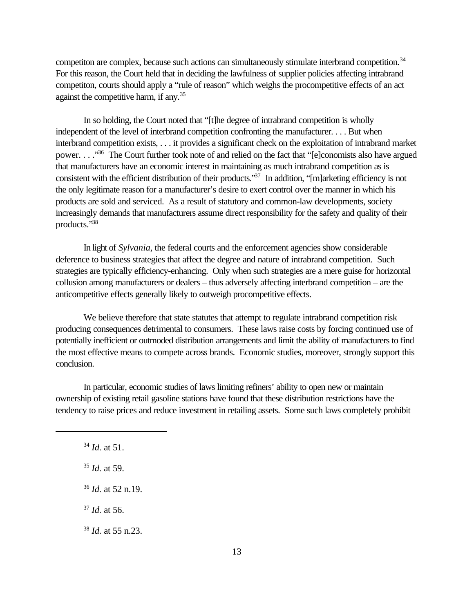competition are complex, because such actions can simultaneously stimulate interbrand competition.<sup>34</sup> For this reason, the Court held that in deciding the lawfulness of supplier policies affecting intrabrand competiton, courts should apply a "rule of reason" which weighs the procompetitive effects of an act against the competitive harm, if any.<sup>35</sup>

In so holding, the Court noted that "[t]he degree of intrabrand competition is wholly independent of the level of interbrand competition confronting the manufacturer. . . . But when interbrand competition exists, . . . it provides a significant check on the exploitation of intrabrand market power. . . ."<sup>36</sup> The Court further took note of and relied on the fact that "[e]conomists also have argued that manufacturers have an economic interest in maintaining as much intrabrand competition as is consistent with the efficient distribution of their products."<sup>37</sup> In addition, "[m]arketing efficiency is not the only legitimate reason for a manufacturer's desire to exert control over the manner in which his products are sold and serviced. As a result of statutory and common-law developments, society increasingly demands that manufacturers assume direct responsibility for the safety and quality of their products."<sup>38</sup>

In light of *Sylvania*, the federal courts and the enforcement agencies show considerable deference to business strategies that affect the degree and nature of intrabrand competition. Such strategies are typically efficiency-enhancing. Only when such strategies are a mere guise for horizontal collusion among manufacturers or dealers – thus adversely affecting interbrand competition – are the anticompetitive effects generally likely to outweigh procompetitive effects.

We believe therefore that state statutes that attempt to regulate intrabrand competition risk producing consequences detrimental to consumers. These laws raise costs by forcing continued use of potentially inefficient or outmoded distribution arrangements and limit the ability of manufacturers to find the most effective means to compete across brands. Economic studies, moreover, strongly support this conclusion.

In particular, economic studies of laws limiting refiners' ability to open new or maintain ownership of existing retail gasoline stations have found that these distribution restrictions have the tendency to raise prices and reduce investment in retailing assets. Some such laws completely prohibit

- <sup>35</sup> *Id.* at 59.
- <sup>36</sup> *Id.* at 52 n.19.
- <sup>37</sup> *Id.* at 56.

<sup>38</sup> *Id.* at 55 n.23.

<sup>34</sup> *Id.* at 51.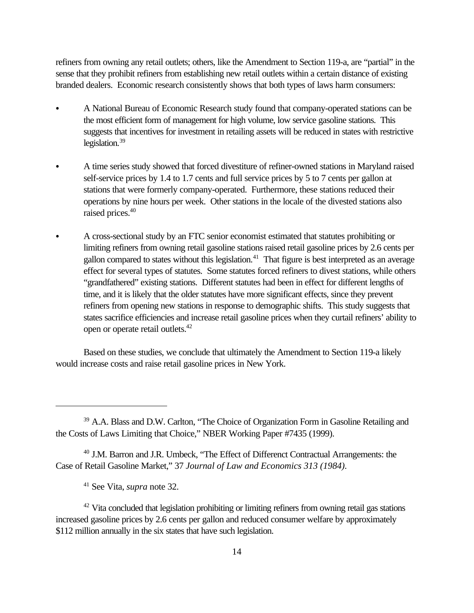refiners from owning any retail outlets; others, like the Amendment to Section 119-a, are "partial" in the sense that they prohibit refiners from establishing new retail outlets within a certain distance of existing branded dealers. Economic research consistently shows that both types of laws harm consumers:

- C A National Bureau of Economic Research study found that company-operated stations can be the most efficient form of management for high volume, low service gasoline stations. This suggests that incentives for investment in retailing assets will be reduced in states with restrictive legislation.<sup>39</sup>
- A time series study showed that forced divestiture of refiner-owned stations in Maryland raised self-service prices by 1.4 to 1.7 cents and full service prices by 5 to 7 cents per gallon at stations that were formerly company-operated. Furthermore, these stations reduced their operations by nine hours per week. Other stations in the locale of the divested stations also raised prices.<sup>40</sup>
- A cross-sectional study by an FTC senior economist estimated that statutes prohibiting or limiting refiners from owning retail gasoline stations raised retail gasoline prices by 2.6 cents per gallon compared to states without this legislation.<sup>41</sup> That figure is best interpreted as an average effect for several types of statutes. Some statutes forced refiners to divest stations, while others "grandfathered" existing stations. Different statutes had been in effect for different lengths of time, and it is likely that the older statutes have more significant effects, since they prevent refiners from opening new stations in response to demographic shifts. This study suggests that states sacrifice efficiencies and increase retail gasoline prices when they curtail refiners' ability to open or operate retail outlets.<sup>42</sup>

Based on these studies, we conclude that ultimately the Amendment to Section 119-a likely would increase costs and raise retail gasoline prices in New York.

<sup>40</sup> J.M. Barron and J.R. Umbeck, "The Effect of Differenct Contractual Arrangements: the Case of Retail Gasoline Market," 37 *Journal of Law and Economics 313 (1984).*

<sup>41</sup> See Vita, *supra* note 32.

 $42$  Vita concluded that legislation prohibiting or limiting refiners from owning retail gas stations increased gasoline prices by 2.6 cents per gallon and reduced consumer welfare by approximately \$112 million annually in the six states that have such legislation.

<sup>&</sup>lt;sup>39</sup> A.A. Blass and D.W. Carlton, "The Choice of Organization Form in Gasoline Retailing and the Costs of Laws Limiting that Choice," NBER Working Paper #7435 (1999).